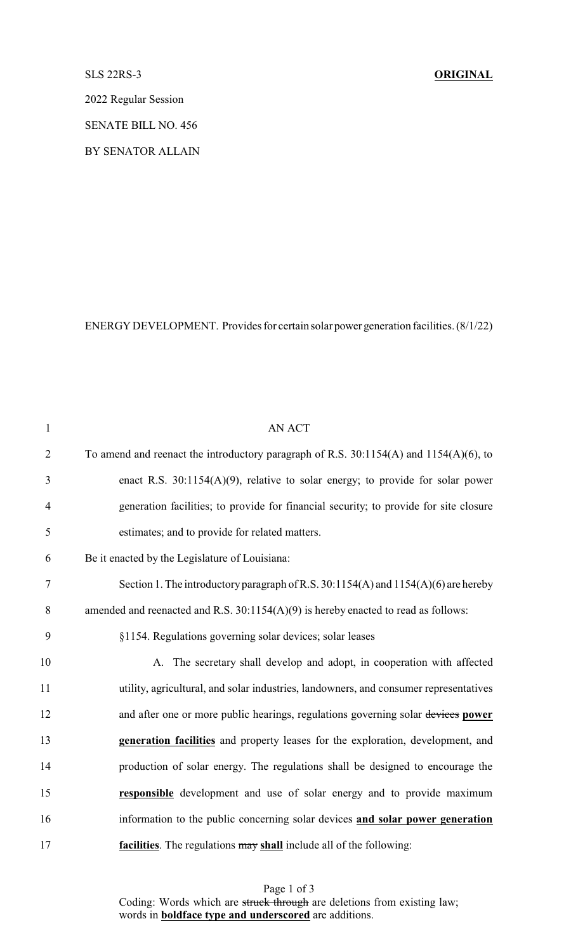## SLS 22RS-3 **ORIGINAL**

2022 Regular Session

SENATE BILL NO. 456

BY SENATOR ALLAIN

ENERGY DEVELOPMENT. Provides for certain solar power generation facilities. (8/1/22)

| $\mathbf{1}$   | <b>AN ACT</b>                                                                              |
|----------------|--------------------------------------------------------------------------------------------|
| $\overline{2}$ | To amend and reenact the introductory paragraph of R.S. $30:1154(A)$ and $1154(A)(6)$ , to |
| 3              | enact R.S. $30:1154(A)(9)$ , relative to solar energy; to provide for solar power          |
| $\overline{4}$ | generation facilities; to provide for financial security; to provide for site closure      |
| 5              | estimates; and to provide for related matters.                                             |
| 6              | Be it enacted by the Legislature of Louisiana:                                             |
| $\tau$         | Section 1. The introductory paragraph of R.S. $30:1154(A)$ and $1154(A)(6)$ are hereby     |
| 8              | amended and reenacted and R.S. $30:1154(A)(9)$ is hereby enacted to read as follows:       |
| 9              | §1154. Regulations governing solar devices; solar leases                                   |
| 10             | A. The secretary shall develop and adopt, in cooperation with affected                     |
| 11             | utility, agricultural, and solar industries, landowners, and consumer representatives      |
| 12             | and after one or more public hearings, regulations governing solar devices power           |
| 13             | generation facilities and property leases for the exploration, development, and            |
| 14             | production of solar energy. The regulations shall be designed to encourage the             |
| 15             | responsible development and use of solar energy and to provide maximum                     |
| 16             | information to the public concerning solar devices and solar power generation              |
| 17             | facilities. The regulations may shall include all of the following:                        |

Page 1 of 3 Coding: Words which are struck through are deletions from existing law; words in **boldface type and underscored** are additions.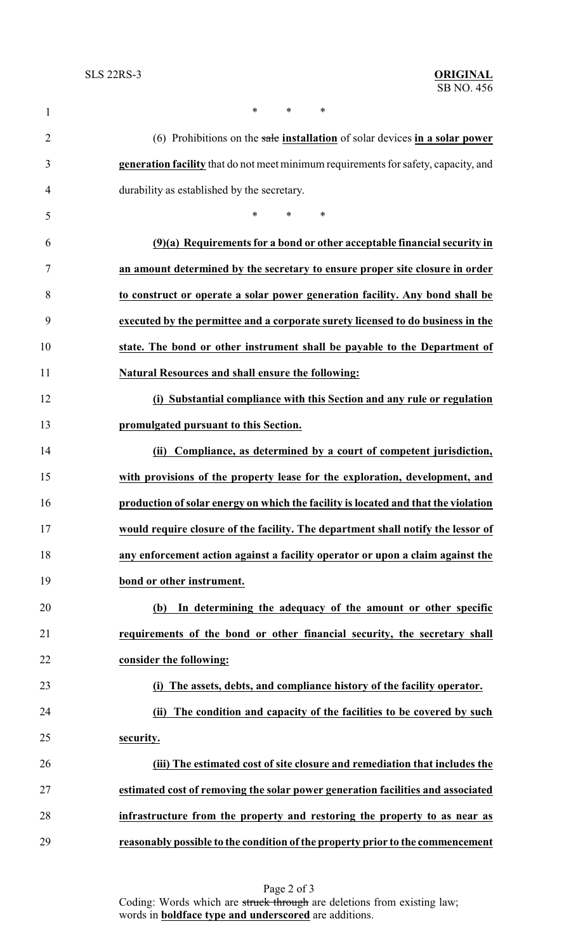| 1              | *<br>*<br>$\ast$                                                                    |
|----------------|-------------------------------------------------------------------------------------|
| $\overline{2}$ | (6) Prohibitions on the sale installation of solar devices in a solar power         |
| 3              | generation facility that do not meet minimum requirements for safety, capacity, and |
| 4              | durability as established by the secretary.                                         |
| 5              | $\ast$<br>$\ast$<br>∗                                                               |
| 6              | (9)(a) Requirements for a bond or other acceptable financial security in            |
| 7              | an amount determined by the secretary to ensure proper site closure in order        |
| 8              | to construct or operate a solar power generation facility. Any bond shall be        |
| 9              | executed by the permittee and a corporate surety licensed to do business in the     |
| 10             | state. The bond or other instrument shall be payable to the Department of           |
| 11             | Natural Resources and shall ensure the following:                                   |
| 12             | (i) Substantial compliance with this Section and any rule or regulation             |
| 13             | promulgated pursuant to this Section.                                               |
| 14             | Compliance, as determined by a court of competent jurisdiction,<br>(ii)             |
| 15             | with provisions of the property lease for the exploration, development, and         |
| 16             | production of solar energy on which the facility is located and that the violation  |
| 17             | would require closure of the facility. The department shall notify the lessor of    |
| 18             | any enforcement action against a facility operator or upon a claim against the      |
| 19             | bond or other instrument.                                                           |
| 20             | In determining the adequacy of the amount or other specific<br>(b)                  |
| 21             | requirements of the bond or other financial security, the secretary shall           |
| 22             | consider the following:                                                             |
| 23             | The assets, debts, and compliance history of the facility operator.                 |
| 24             | The condition and capacity of the facilities to be covered by such<br>(ii)          |
| 25             | security.                                                                           |
| 26             | (iii) The estimated cost of site closure and remediation that includes the          |
| 27             | estimated cost of removing the solar power generation facilities and associated     |
| 28             | infrastructure from the property and restoring the property to as near as           |
| 29             | reasonably possible to the condition of the property prior to the commencement      |

Page 2 of 3 Coding: Words which are struck through are deletions from existing law; words in **boldface type and underscored** are additions.